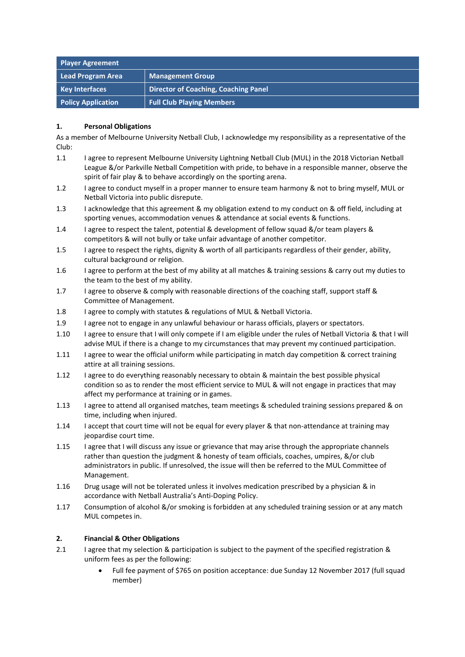| <b>Player Agreement</b>   |                                             |
|---------------------------|---------------------------------------------|
| Lead Program Area         | <b>Management Group</b>                     |
| <b>Key Interfaces</b>     | <b>Director of Coaching, Coaching Panel</b> |
| <b>Policy Application</b> | <b>Full Club Playing Members</b>            |

## **1. Personal Obligations**

As a member of Melbourne University Netball Club, I acknowledge my responsibility as a representative of the Club:

- 1.1 I agree to represent Melbourne University Lightning Netball Club (MUL) in the 2018 Victorian Netball League &/or Parkville Netball Competition with pride, to behave in a responsible manner, observe the spirit of fair play & to behave accordingly on the sporting arena.
- 1.2 I agree to conduct myself in a proper manner to ensure team harmony & not to bring myself, MUL or Netball Victoria into public disrepute.
- 1.3 I acknowledge that this agreement & my obligation extend to my conduct on & off field, including at sporting venues, accommodation venues & attendance at social events & functions.
- 1.4 I agree to respect the talent, potential & development of fellow squad &/or team players & competitors & will not bully or take unfair advantage of another competitor.
- 1.5 I agree to respect the rights, dignity & worth of all participants regardless of their gender, ability, cultural background or religion.
- 1.6 I agree to perform at the best of my ability at all matches & training sessions & carry out my duties to the team to the best of my ability.
- 1.7 I agree to observe & comply with reasonable directions of the coaching staff, support staff & Committee of Management.
- 1.8 I agree to comply with statutes & regulations of MUL & Netball Victoria.
- 1.9 I agree not to engage in any unlawful behaviour or harass officials, players or spectators.
- 1.10 I agree to ensure that I will only compete if I am eligible under the rules of Netball Victoria & that I will advise MUL if there is a change to my circumstances that may prevent my continued participation.
- 1.11 I agree to wear the official uniform while participating in match day competition & correct training attire at all training sessions.
- 1.12 I agree to do everything reasonably necessary to obtain & maintain the best possible physical condition so as to render the most efficient service to MUL & will not engage in practices that may affect my performance at training or in games.
- 1.13 I agree to attend all organised matches, team meetings & scheduled training sessions prepared & on time, including when injured.
- 1.14 I accept that court time will not be equal for every player & that non-attendance at training may jeopardise court time.
- 1.15 I agree that I will discuss any issue or grievance that may arise through the appropriate channels rather than question the judgment & honesty of team officials, coaches, umpires, &/or club administrators in public. If unresolved, the issue will then be referred to the MUL Committee of Management.
- 1.16 Drug usage will not be tolerated unless it involves medication prescribed by a physician & in accordance with Netball Australia's Anti-Doping Policy.
- 1.17 Consumption of alcohol &/or smoking is forbidden at any scheduled training session or at any match MUL competes in.

## **2. Financial & Other Obligations**

- 2.1 I agree that my selection & participation is subject to the payment of the specified registration & uniform fees as per the following:
	- Full fee payment of \$765 on position acceptance: due Sunday 12 November 2017 (full squad member)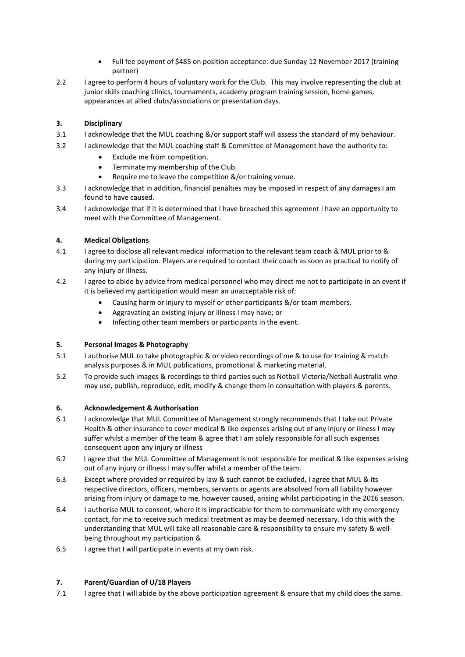- Full fee payment of \$485 on position acceptance: due Sunday 12 November 2017 (training partner)
- 2.2 I agree to perform 4 hours of voluntary work for the Club. This may involve representing the club at junior skills coaching clinics, tournaments, academy program training session, home games, appearances at allied clubs/associations or presentation days.

# **3. Disciplinary**

- 3.1 I acknowledge that the MUL coaching &/or support staff will assess the standard of my behaviour.
- 3.2 I acknowledge that the MUL coaching staff & Committee of Management have the authority to:
	- Exclude me from competition.
	- Terminate my membership of the Club.
	- Require me to leave the competition &/or training venue.
- 3.3 I acknowledge that in addition, financial penalties may be imposed in respect of any damages I am found to have caused.
- 3.4 I acknowledge that if it is determined that I have breached this agreement I have an opportunity to meet with the Committee of Management.

# **4. Medical Obligations**

- 4.1 I agree to disclose all relevant medical information to the relevant team coach & MUL prior to & during my participation. Players are required to contact their coach as soon as practical to notify of any injury or illness.
- 4.2 I agree to abide by advice from medical personnel who may direct me not to participate in an event if it is believed my participation would mean an unacceptable risk of:
	- Causing harm or injury to myself or other participants &/or team members.
	- Aggravating an existing injury or illness I may have; or
	- Infecting other team members or participants in the event.

## **5. Personal Images & Photography**

- 5.1 I authorise MUL to take photographic & or video recordings of me & to use for training & match analysis purposes & in MUL publications, promotional & marketing material.
- 5.2 To provide such images & recordings to third parties such as Netball Victoria/Netball Australia who may use, publish, reproduce, edit, modify & change them in consultation with players & parents.

## **6. Acknowledgement & Authorisation**

- 6.1 I acknowledge that MUL Committee of Management strongly recommends that I take out Private Health & other insurance to cover medical & like expenses arising out of any injury or illness I may suffer whilst a member of the team & agree that I am solely responsible for all such expenses consequent upon any injury or illness
- 6.2 I agree that the MUL Committee of Management is not responsible for medical & like expenses arising out of any injury or illness I may suffer whilst a member of the team.
- 6.3 Except where provided or required by law & such cannot be excluded, I agree that MUL & its respective directors, officers, members, servants or agents are absolved from all liability however arising from injury or damage to me, however caused, arising whilst participating in the 2016 season.
- 6.4 I authorise MUL to consent, where it is impracticable for them to communicate with my emergency contact, for me to receive such medical treatment as may be deemed necessary. I do this with the understanding that MUL will take all reasonable care & responsibility to ensure my safety & wellbeing throughout my participation &
- 6.5 I agree that I will participate in events at my own risk.

## **7. Parent/Guardian of U/18 Players**

7.1 I agree that I will abide by the above participation agreement & ensure that my child does the same.